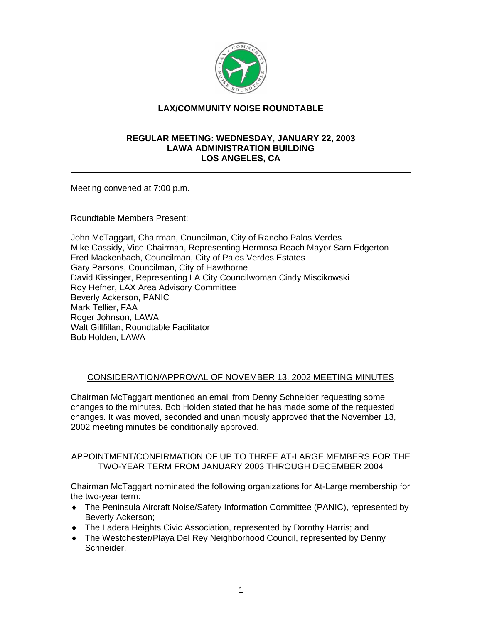

# **LAX/COMMUNITY NOISE ROUNDTABLE**

### **REGULAR MEETING: WEDNESDAY, JANUARY 22, 2003 LAWA ADMINISTRATION BUILDING LOS ANGELES, CA**

Meeting convened at 7:00 p.m.

Roundtable Members Present:

John McTaggart, Chairman, Councilman, City of Rancho Palos Verdes Mike Cassidy, Vice Chairman, Representing Hermosa Beach Mayor Sam Edgerton Fred Mackenbach, Councilman, City of Palos Verdes Estates Gary Parsons, Councilman, City of Hawthorne David Kissinger, Representing LA City Councilwoman Cindy Miscikowski Roy Hefner, LAX Area Advisory Committee Beverly Ackerson, PANIC Mark Tellier, FAA Roger Johnson, LAWA Walt Gillfillan, Roundtable Facilitator Bob Holden, LAWA

### CONSIDERATION/APPROVAL OF NOVEMBER 13, 2002 MEETING MINUTES

Chairman McTaggart mentioned an email from Denny Schneider requesting some changes to the minutes. Bob Holden stated that he has made some of the requested changes. It was moved, seconded and unanimously approved that the November 13, 2002 meeting minutes be conditionally approved.

## APPOINTMENT/CONFIRMATION OF UP TO THREE AT-LARGE MEMBERS FOR THE TWO-YEAR TERM FROM JANUARY 2003 THROUGH DECEMBER 2004

Chairman McTaggart nominated the following organizations for At-Large membership for the two-year term:

- ♦ The Peninsula Aircraft Noise/Safety Information Committee (PANIC), represented by Beverly Ackerson;
- ♦ The Ladera Heights Civic Association, represented by Dorothy Harris; and
- ♦ The Westchester/Playa Del Rey Neighborhood Council, represented by Denny Schneider.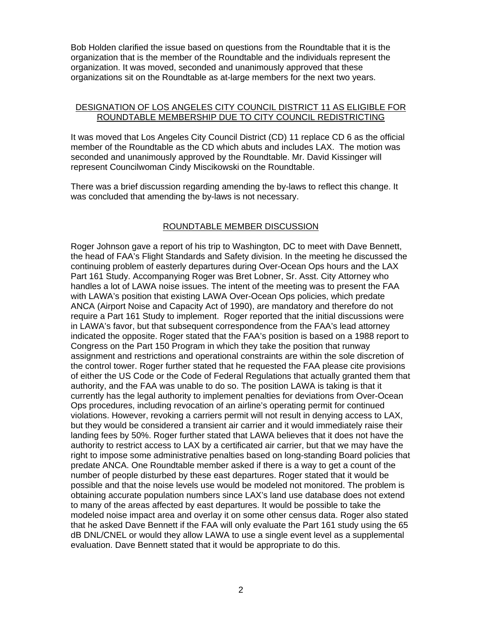Bob Holden clarified the issue based on questions from the Roundtable that it is the organization that is the member of the Roundtable and the individuals represent the organization. It was moved, seconded and unanimously approved that these organizations sit on the Roundtable as at-large members for the next two years.

### DESIGNATION OF LOS ANGELES CITY COUNCIL DISTRICT 11 AS ELIGIBLE FOR ROUNDTABLE MEMBERSHIP DUE TO CITY COUNCIL REDISTRICTING

It was moved that Los Angeles City Council District (CD) 11 replace CD 6 as the official member of the Roundtable as the CD which abuts and includes LAX. The motion was seconded and unanimously approved by the Roundtable. Mr. David Kissinger will represent Councilwoman Cindy Miscikowski on the Roundtable.

There was a brief discussion regarding amending the by-laws to reflect this change. It was concluded that amending the by-laws is not necessary.

### ROUNDTABLE MEMBER DISCUSSION

Roger Johnson gave a report of his trip to Washington, DC to meet with Dave Bennett, the head of FAA's Flight Standards and Safety division. In the meeting he discussed the continuing problem of easterly departures during Over-Ocean Ops hours and the LAX Part 161 Study. Accompanying Roger was Bret Lobner, Sr. Asst. City Attorney who handles a lot of LAWA noise issues. The intent of the meeting was to present the FAA with LAWA's position that existing LAWA Over-Ocean Ops policies, which predate ANCA (Airport Noise and Capacity Act of 1990), are mandatory and therefore do not require a Part 161 Study to implement. Roger reported that the initial discussions were in LAWA's favor, but that subsequent correspondence from the FAA's lead attorney indicated the opposite. Roger stated that the FAA's position is based on a 1988 report to Congress on the Part 150 Program in which they take the position that runway assignment and restrictions and operational constraints are within the sole discretion of the control tower. Roger further stated that he requested the FAA please cite provisions of either the US Code or the Code of Federal Regulations that actually granted them that authority, and the FAA was unable to do so. The position LAWA is taking is that it currently has the legal authority to implement penalties for deviations from Over-Ocean Ops procedures, including revocation of an airline's operating permit for continued violations. However, revoking a carriers permit will not result in denying access to LAX, but they would be considered a transient air carrier and it would immediately raise their landing fees by 50%. Roger further stated that LAWA believes that it does not have the authority to restrict access to LAX by a certificated air carrier, but that we may have the right to impose some administrative penalties based on long-standing Board policies that predate ANCA. One Roundtable member asked if there is a way to get a count of the number of people disturbed by these east departures. Roger stated that it would be possible and that the noise levels use would be modeled not monitored. The problem is obtaining accurate population numbers since LAX's land use database does not extend to many of the areas affected by east departures. It would be possible to take the modeled noise impact area and overlay it on some other census data. Roger also stated that he asked Dave Bennett if the FAA will only evaluate the Part 161 study using the 65 dB DNL/CNEL or would they allow LAWA to use a single event level as a supplemental evaluation. Dave Bennett stated that it would be appropriate to do this.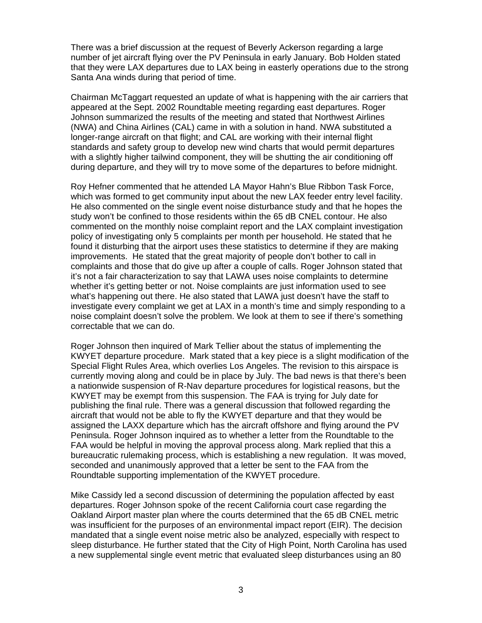There was a brief discussion at the request of Beverly Ackerson regarding a large number of jet aircraft flying over the PV Peninsula in early January. Bob Holden stated that they were LAX departures due to LAX being in easterly operations due to the strong Santa Ana winds during that period of time.

Chairman McTaggart requested an update of what is happening with the air carriers that appeared at the Sept. 2002 Roundtable meeting regarding east departures. Roger Johnson summarized the results of the meeting and stated that Northwest Airlines (NWA) and China Airlines (CAL) came in with a solution in hand. NWA substituted a longer-range aircraft on that flight; and CAL are working with their internal flight standards and safety group to develop new wind charts that would permit departures with a slightly higher tailwind component, they will be shutting the air conditioning off during departure, and they will try to move some of the departures to before midnight.

Roy Hefner commented that he attended LA Mayor Hahn's Blue Ribbon Task Force, which was formed to get community input about the new LAX feeder entry level facility. He also commented on the single event noise disturbance study and that he hopes the study won't be confined to those residents within the 65 dB CNEL contour. He also commented on the monthly noise complaint report and the LAX complaint investigation policy of investigating only 5 complaints per month per household. He stated that he found it disturbing that the airport uses these statistics to determine if they are making improvements. He stated that the great majority of people don't bother to call in complaints and those that do give up after a couple of calls. Roger Johnson stated that it's not a fair characterization to say that LAWA uses noise complaints to determine whether it's getting better or not. Noise complaints are just information used to see what's happening out there. He also stated that LAWA just doesn't have the staff to investigate every complaint we get at LAX in a month's time and simply responding to a noise complaint doesn't solve the problem. We look at them to see if there's something correctable that we can do.

Roger Johnson then inquired of Mark Tellier about the status of implementing the KWYET departure procedure. Mark stated that a key piece is a slight modification of the Special Flight Rules Area, which overlies Los Angeles. The revision to this airspace is currently moving along and could be in place by July. The bad news is that there's been a nationwide suspension of R-Nav departure procedures for logistical reasons, but the KWYET may be exempt from this suspension. The FAA is trying for July date for publishing the final rule. There was a general discussion that followed regarding the aircraft that would not be able to fly the KWYET departure and that they would be assigned the LAXX departure which has the aircraft offshore and flying around the PV Peninsula. Roger Johnson inquired as to whether a letter from the Roundtable to the FAA would be helpful in moving the approval process along. Mark replied that this a bureaucratic rulemaking process, which is establishing a new regulation. It was moved, seconded and unanimously approved that a letter be sent to the FAA from the Roundtable supporting implementation of the KWYET procedure.

Mike Cassidy led a second discussion of determining the population affected by east departures. Roger Johnson spoke of the recent California court case regarding the Oakland Airport master plan where the courts determined that the 65 dB CNEL metric was insufficient for the purposes of an environmental impact report (EIR). The decision mandated that a single event noise metric also be analyzed, especially with respect to sleep disturbance. He further stated that the City of High Point, North Carolina has used a new supplemental single event metric that evaluated sleep disturbances using an 80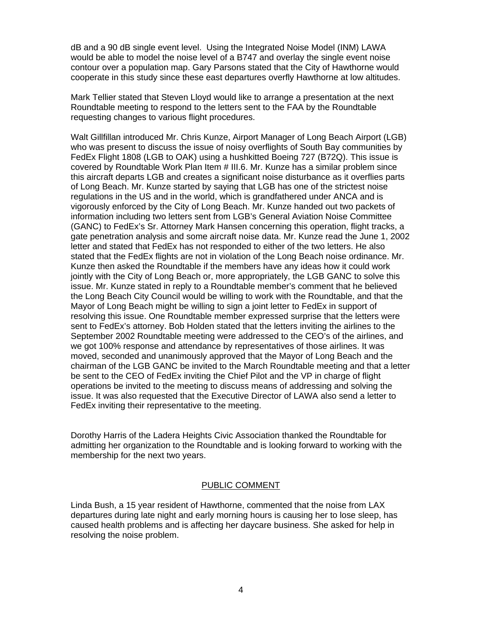dB and a 90 dB single event level. Using the Integrated Noise Model (INM) LAWA would be able to model the noise level of a B747 and overlay the single event noise contour over a population map. Gary Parsons stated that the City of Hawthorne would cooperate in this study since these east departures overfly Hawthorne at low altitudes.

Mark Tellier stated that Steven Lloyd would like to arrange a presentation at the next Roundtable meeting to respond to the letters sent to the FAA by the Roundtable requesting changes to various flight procedures.

Walt Gillfillan introduced Mr. Chris Kunze, Airport Manager of Long Beach Airport (LGB) who was present to discuss the issue of noisy overflights of South Bay communities by FedEx Flight 1808 (LGB to OAK) using a hushkitted Boeing 727 (B72Q). This issue is covered by Roundtable Work Plan Item # III.6. Mr. Kunze has a similar problem since this aircraft departs LGB and creates a significant noise disturbance as it overflies parts of Long Beach. Mr. Kunze started by saying that LGB has one of the strictest noise regulations in the US and in the world, which is grandfathered under ANCA and is vigorously enforced by the City of Long Beach. Mr. Kunze handed out two packets of information including two letters sent from LGB's General Aviation Noise Committee (GANC) to FedEx's Sr. Attorney Mark Hansen concerning this operation, flight tracks, a gate penetration analysis and some aircraft noise data. Mr. Kunze read the June 1, 2002 letter and stated that FedEx has not responded to either of the two letters. He also stated that the FedEx flights are not in violation of the Long Beach noise ordinance. Mr. Kunze then asked the Roundtable if the members have any ideas how it could work jointly with the City of Long Beach or, more appropriately, the LGB GANC to solve this issue. Mr. Kunze stated in reply to a Roundtable member's comment that he believed the Long Beach City Council would be willing to work with the Roundtable, and that the Mayor of Long Beach might be willing to sign a joint letter to FedEx in support of resolving this issue. One Roundtable member expressed surprise that the letters were sent to FedEx's attorney. Bob Holden stated that the letters inviting the airlines to the September 2002 Roundtable meeting were addressed to the CEO's of the airlines, and we got 100% response and attendance by representatives of those airlines. It was moved, seconded and unanimously approved that the Mayor of Long Beach and the chairman of the LGB GANC be invited to the March Roundtable meeting and that a letter be sent to the CEO of FedEx inviting the Chief Pilot and the VP in charge of flight operations be invited to the meeting to discuss means of addressing and solving the issue. It was also requested that the Executive Director of LAWA also send a letter to FedEx inviting their representative to the meeting.

Dorothy Harris of the Ladera Heights Civic Association thanked the Roundtable for admitting her organization to the Roundtable and is looking forward to working with the membership for the next two years.

### PUBLIC COMMENT

Linda Bush, a 15 year resident of Hawthorne, commented that the noise from LAX departures during late night and early morning hours is causing her to lose sleep, has caused health problems and is affecting her daycare business. She asked for help in resolving the noise problem.